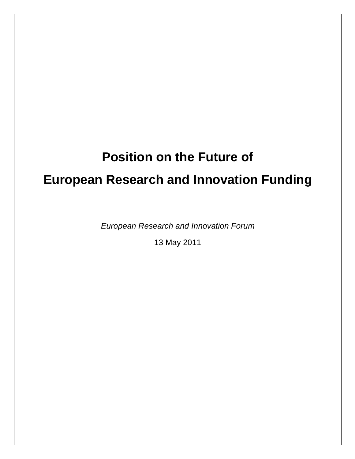# **Position on the Future of European Research and Innovation Funding**

*European Research and Innovation Forum*

13 May 2011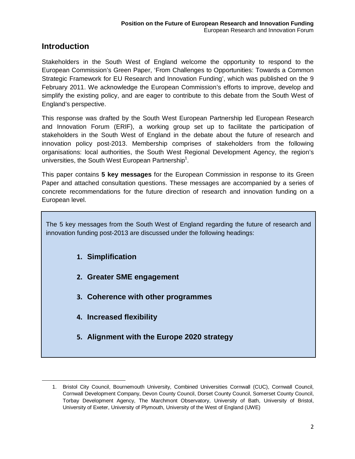# **Introduction**

Stakeholders in the South West of England welcome the opportunity to respond to the European Commission's Green Paper, 'From Challenges to Opportunities: Towards a Common Strategic Framework for EU Research and Innovation Funding', which was published on the 9 February 2011. We acknowledge the European Commission's efforts to improve, develop and simplify the existing policy, and are eager to contribute to this debate from the South West of England's perspective.

This response was drafted by the South West European Partnership led European Research and Innovation Forum (ERIF), a working group set up to facilitate the participation of stakeholders in the South West of England in the debate about the future of research and innovation policy post-2013. Membership comprises of stakeholders from the following organisations: local authorities, the South West Regional Development Agency, the region's universities, the South West European Partnership<sup>1</sup>.

This paper contains **5 key messages** for the European Commission in response to its Green Paper and attached consultation questions. These messages are accompanied by a series of concrete recommendations for the future direction of research and innovation funding on a European level.

The 5 key messages from the South West of England regarding the future of research and innovation funding post-2013 are discussed under the following headings:

- **1. Simplification**
- **2. Greater SME engagement**
- **3. Coherence with other programmes**
- **4. Increased flexibility**

 $\overline{\phantom{a}}$ 

**5. Alignment with the Europe 2020 strategy**

<sup>1.</sup> Bristol City Council, Bournemouth University, Combined Universities Cornwall (CUC), Cornwall Council, Cornwall Development Company, Devon County Council, Dorset County Council, Somerset County Council, Torbay Development Agency, The Marchmont Observatory, University of Bath, University of Bristol, University of Exeter, University of Plymouth, University of the West of England (UWE)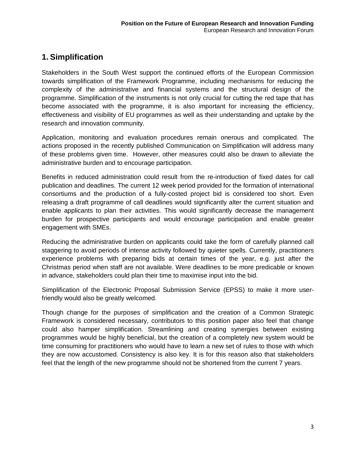# **1. Simplification**

Stakeholders in the South West support the continued efforts of the European Commission towards simplification of the Framework Programme, including mechanisms for reducing the complexity of the administrative and financial systems and the structural design of the programme. Simplification of the instruments is not only crucial for cutting the red tape that has become associated with the programme, it is also important for increasing the efficiency, effectiveness and visibility of EU programmes as well as their understanding and uptake by the research and innovation community.

Application, monitoring and evaluation procedures remain onerous and complicated. The actions proposed in the recently published Communication on Simplification will address many of these problems given time. However, other measures could also be drawn to alleviate the administrative burden and to encourage participation.

Benefits in reduced administration could result from the re-introduction of fixed dates for call publication and deadlines. The current 12 week period provided for the formation of international consortiums and the production of a fully-costed project bid is considered too short. Even releasing a draft programme of call deadlines would significantly alter the current situation and enable applicants to plan their activities. This would significantly decrease the management burden for prospective participants and would encourage participation and enable greater engagement with SMEs.

Reducing the administrative burden on applicants could take the form of carefully planned call staggering to avoid periods of intense activity followed by quieter spells. Currently, practitioners experience problems with preparing bids at certain times of the year, e.g. just after the Christmas period when staff are not available. Were deadlines to be more predicable or known in advance, stakeholders could plan their time to maximise input into the bid.

Simplification of the Electronic Proposal Submission Service (EPSS) to make it more userfriendly would also be greatly welcomed.

Though change for the purposes of simplification and the creation of a Common Strategic Framework is considered necessary, contributors to this position paper also feel that change could also hamper simplification. Streamlining and creating synergies between existing programmes would be highly beneficial, but the creation of a completely new system would be time consuming for practitioners who would have to learn a new set of rules to those with which they are now accustomed. Consistency is also key. It is for this reason also that stakeholders feel that the length of the new programme should not be shortened from the current 7 years.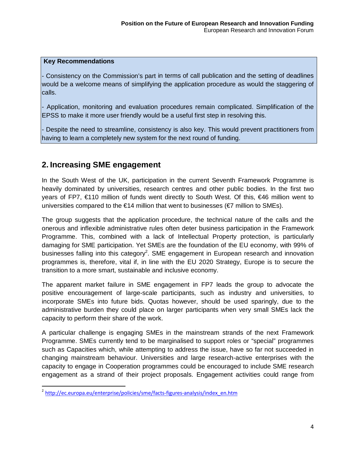- Consistency on the Commission's part in terms of call publication and the setting of deadlines would be a welcome means of simplifying the application procedure as would the staggering of calls.

- Application, monitoring and evaluation procedures remain complicated. Simplification of the EPSS to make it more user friendly would be a useful first step in resolving this.

- Despite the need to streamline, consistency is also key. This would prevent practitioners from having to learn a completely new system for the next round of funding.

# **2. Increasing SME engagement**

In the South West of the UK, participation in the current Seventh Framework Programme is heavily dominated by universities, research centres and other public bodies. In the first two years of FP7, €110 million of funds went directly to South West. Of this, €46 million went to universities compared to the  $\epsilon$ 14 million that went to businesses ( $\epsilon$ 7 million to SMEs).

The group suggests that the application procedure, the technical nature of the calls and the onerous and inflexible administrative rules often deter business participation in the Framework Programme. This, combined with a lack of Intellectual Property protection, is particularly damaging for SME participation. Yet SMEs are the foundation of the EU economy, with 99% of businesses falling into this category<sup>2</sup>. SME engagement in European research and innovation programmes is, therefore, vital if, in line with the EU 2020 Strategy, Europe is to secure the transition to a more smart, sustainable and inclusive economy.

The apparent market failure in SME engagement in FP7 leads the group to advocate the positive encouragement of large-scale participants, such as industry and universities, to incorporate SMEs into future bids. Quotas however, should be used sparingly, due to the administrative burden they could place on larger participants when very small SMEs lack the capacity to perform their share of the work.

A particular challenge is engaging SMEs in the mainstream strands of the next Framework Programme. SMEs currently tend to be marginalised to support roles or "special" programmes such as Capacities which, while attempting to address the issue, have so far not succeeded in changing mainstream behaviour. Universities and large research-active enterprises with the capacity to engage in Cooperation programmes could be encouraged to include SME research engagement as a strand of their project proposals. Engagement activities could range from

<sup>&</sup>lt;sup>2</sup> [http://ec.europa.eu/enterprise/policies/sme/facts-figures-analysis/index\\_en.htm](http://ec.europa.eu/enterprise/policies/sme/facts-figures-analysis/index_en.htm)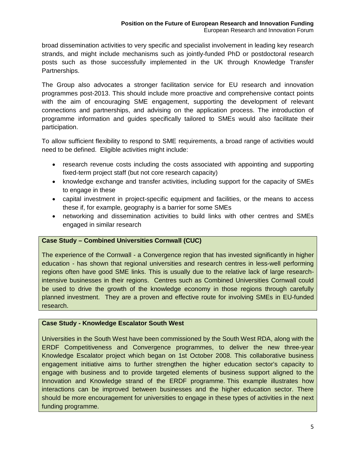broad dissemination activities to very specific and specialist involvement in leading key research strands, and might include mechanisms such as jointly-funded PhD or postdoctoral research posts such as those successfully implemented in the UK through Knowledge Transfer Partnerships.

The Group also advocates a stronger facilitation service for EU research and innovation programmes post-2013. This should include more proactive and comprehensive contact points with the aim of encouraging SME engagement, supporting the development of relevant connections and partnerships, and advising on the application process. The introduction of programme information and guides specifically tailored to SMEs would also facilitate their participation.

To allow sufficient flexibility to respond to SME requirements, a broad range of activities would need to be defined. Eligible activities might include:

- research revenue costs including the costs associated with appointing and supporting fixed-term project staff (but not core research capacity)
- knowledge exchange and transfer activities, including support for the capacity of SMEs to engage in these
- capital investment in project-specific equipment and facilities, or the means to access these if, for example, geography is a barrier for some SMEs
- networking and dissemination activities to build links with other centres and SMEs engaged in similar research

## **Case Study – Combined Universities Cornwall (CUC)**

The experience of the Cornwall - a Convergence region that has invested significantly in higher education - has shown that regional universities and research centres in less-well performing regions often have good SME links. This is usually due to the relative lack of large researchintensive businesses in their regions. Centres such as Combined Universities Cornwall could be used to drive the growth of the knowledge economy in those regions through carefully planned investment. They are a proven and effective route for involving SMEs in EU-funded research.

## **Case Study - Knowledge Escalator South West**

Universities in the South West have been commissioned by the South West RDA, along with the ERDF Competitiveness and Convergence programmes, to deliver the new three-year Knowledge Escalator project which began on 1st October 2008. This collaborative business engagement initiative aims to further strengthen the higher education sector's capacity to engage with business and to provide targeted elements of business support aligned to the Innovation and Knowledge strand of the ERDF programme. This example illustrates how interactions can be improved between businesses and the higher education sector. There should be more encouragement for universities to engage in these types of activities in the next funding programme.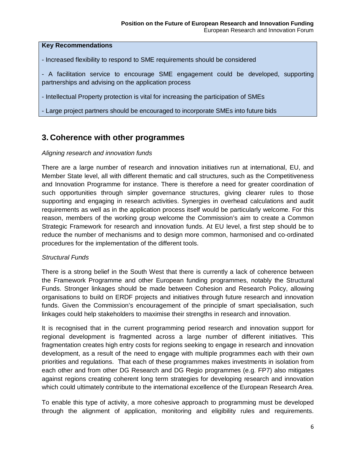- Increased flexibility to respond to SME requirements should be considered
- A facilitation service to encourage SME engagement could be developed, supporting partnerships and advising on the application process
- Intellectual Property protection is vital for increasing the participation of SMEs
- Large project partners should be encouraged to incorporate SMEs into future bids

# **3. Coherence with other programmes**

#### *Aligning research and innovation funds*

There are a large number of research and innovation initiatives run at international, EU, and Member State level, all with different thematic and call structures, such as the Competitiveness and Innovation Programme for instance. There is therefore a need for greater coordination of such opportunities through simpler governance structures, giving clearer rules to those supporting and engaging in research activities. Synergies in overhead calculations and audit requirements as well as in the application process itself would be particularly welcome. For this reason, members of the working group welcome the Commission's aim to create a Common Strategic Framework for research and innovation funds. At EU level, a first step should be to reduce the number of mechanisms and to design more common, harmonised and co-ordinated procedures for the implementation of the different tools.

## *Structural Funds*

There is a strong belief in the South West that there is currently a lack of coherence between the Framework Programme and other European funding programmes, notably the Structural Funds. Stronger linkages should be made between Cohesion and Research Policy, allowing organisations to build on ERDF projects and initiatives through future research and innovation funds. Given the Commission's encouragement of the principle of smart specialisation, such linkages could help stakeholders to maximise their strengths in research and innovation.

It is recognised that in the current programming period research and innovation support for regional development is fragmented across a large number of different initiatives. This fragmentation creates high entry costs for regions seeking to engage in research and innovation development, as a result of the need to engage with multiple programmes each with their own priorities and regulations. That each of these programmes makes investments in isolation from each other and from other DG Research and DG Regio programmes (e.g. FP7) also mitigates against regions creating coherent long term strategies for developing research and innovation which could ultimately contribute to the international excellence of the European Research Area.

To enable this type of activity, a more cohesive approach to programming must be developed through the alignment of application, monitoring and eligibility rules and requirements.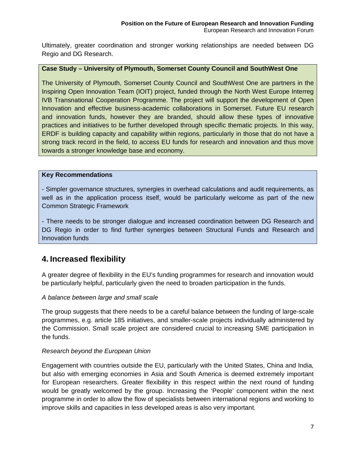Ultimately, greater coordination and stronger working relationships are needed between DG Regio and DG Research.

#### **Case Study – University of Plymouth, Somerset County Council and SouthWest One**

The University of Plymouth, Somerset County Council and SouthWest One are partners in the Inspiring Open Innovation Team (IOIT) project, funded through the North West Europe Interreg IVB Transnational Cooperation Programme. The project will support the development of Open Innovation and effective business-academic collaborations in Somerset. Future EU research and innovation funds, however they are branded, should allow these types of innovative practices and initiatives to be further developed through specific thematic projects. In this way, ERDF is building capacity and capability within regions, particularly in those that do not have a strong track record in the field, to access EU funds for research and innovation and thus move towards a stronger knowledge base and economy.

#### **Key Recommendations**

- Simpler governance structures, synergies in overhead calculations and audit requirements, as well as in the application process itself, would be particularly welcome as part of the new Common Strategic Framework

- There needs to be stronger dialogue and increased coordination between DG Research and DG Regio in order to find further synergies between Structural Funds and Research and Innovation funds

# **4. Increased flexibility**

A greater degree of flexibility in the EU's funding programmes for research and innovation would be particularly helpful, particularly given the need to broaden participation in the funds.

#### *A balance between large and small scale*

The group suggests that there needs to be a careful balance between the funding of large-scale programmes, e.g. article 185 initiatives, and smaller-scale projects individually administered by the Commission. Small scale project are considered crucial to increasing SME participation in the funds.

## *Research beyond the European Union*

Engagement with countries outside the EU, particularly with the United States, China and India, but also with emerging economies in Asia and South America is deemed extremely important for European researchers. Greater flexibility in this respect within the next round of funding would be greatly welcomed by the group. Increasing the 'People' component within the next programme in order to allow the flow of specialists between international regions and working to improve skills and capacities in less developed areas is also very important.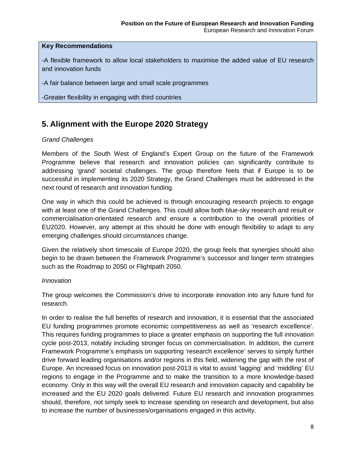-A flexible framework to allow local stakeholders to maximise the added value of EU research and innovation funds

-A fair balance between large and small scale programmes

-Greater flexibility in engaging with third countries

# **5. Alignment with the Europe 2020 Strategy**

## *Grand Challenges*

Members of the South West of England's Expert Group on the future of the Framework Programme believe that research and innovation policies can significantly contribute to addressing 'grand' societal challenges. The group therefore feels that if Europe is to be successful in implementing its 2020 Strategy, the Grand Challenges must be addressed in the next round of research and innovation funding.

One way in which this could be achieved is through encouraging research projects to engage with at least one of the Grand Challenges. This could allow both blue-sky research and result or commercialisation-orientated research and ensure a contribution to the overall priorities of EU2020. However, any attempt at this should be done with enough flexibility to adapt to any emerging challenges should circumstances change.

Given the relatively short timescale of Europe 2020, the group feels that synergies should also begin to be drawn between the Framework Programme's successor and longer term strategies such as the Roadmap to 2050 or Flightpath 2050.

## *Innovation*

The group welcomes the Commission's drive to incorporate innovation into any future fund for research.

In order to realise the full benefits of research and innovation, it is essential that the associated EU funding programmes promote economic competitiveness as well as 'research excellence'. This requires funding programmes to place a greater emphasis on supporting the full innovation cycle post-2013, notably including stronger focus on commercialisation. In addition, the current Framework Programme's emphasis on supporting 'research excellence' serves to simply further drive forward leading organisations and/or regions in this field, widening the gap with the rest of Europe. An increased focus on innovation post-2013 is vital to assist 'lagging' and 'middling' EU regions to engage in the Programme and to make the transition to a more knowledge-based economy. Only in this way will the overall EU research and innovation capacity and capability be increased and the EU 2020 goals delivered. Future EU research and innovation programmes should, therefore, not simply seek to increase spending on research and development, but also to increase the number of businesses/organisations engaged in this activity.